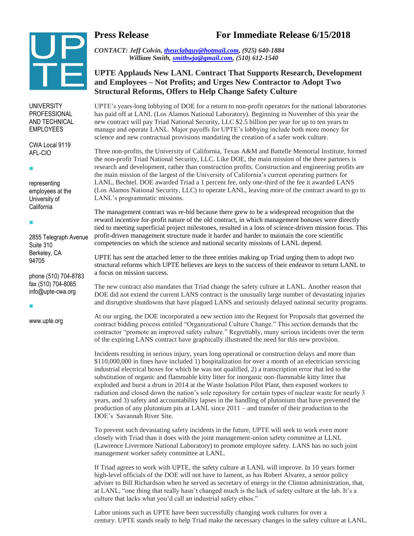

**UNIVERSITY** PROFESSIONAL AND TECHNICAL EMPLOYEES

CWA Local 9119 AFL-CIO

 $\blacksquare$ 

 $\blacksquare$ 

representing employees at the University of California

2855 Telegraph Avenue Suite 310 Berkeley, CA 94705

phone (510) 704-8783 fax (510) 704-8065 info@upte-cwa.org

I.

www.upte.org

**Press Release For Immediate Release 6/15/2018**

*CONTACT: Jeff Colvin, [theuclabguy@hotmail.com,](mailto:theuclabguy@hotmail.com) (925) 640-1884 William Smith, [smithwja@gmail.com,](mailto:smithwja@gmail.com) (510) 612-1540*

### **UPTE Applauds New LANL Contract That Supports Research, Development and Employees – Not Profits; and Urges New Contractor to Adopt Two Structural Reforms, Offers to Help Change Safety Culture**

UPTE's years-long lobbying of DOE for a return to non-profit operators for the national laboratories has paid off at LANL (Los Alamos National Laboratory). Beginning in November of this year the new contract will pay Triad National Security, LLC \$2.5 billion per year for up to ten years to manage and operate LANL. Major payoffs for UPTE's lobbying include both more money for science and new contractual provisions mandating the creation of a safer work culture.

Three non-profits, the University of California, Texas A&M and Battelle Memorial Institute, formed the non-profit Triad National Security, LLC. Like DOE, the main mission of the three partners is research and development, rather than construction profits. Construction and engineering profits are the main mission of the largest of the University of California's current operating partners for LANL, Bechtel. DOE awarded Triad a 1 percent fee, only one-third of the fee it awarded LANS (Los Alamos National Security, LLC) to operate LANL, leaving more of the contract award to go to LANL's programmatic missions.

The management contract was re-bid because there grew to be a widespread recognition that the reward incentive for-profit nature of the old contract, in which management bonuses were directly tied to meeting superficial project milestones, resulted in a loss of science-driven mission focus. This profit-driven management structure made it harder and harder to maintain the core scientific competencies on which the science and national security missions of LANL depend.

UPTE has sent the attached letter to the three entities making up Triad urging them to adopt two structural reforms which UPTE believes are keys to the success of their endeavor to return LANL to a focus on mission success.

The new contract also mandates that Triad change the safety culture at LANL. Another reason that DOE did not extend the current LANS contract is the unusually large number of devastating injuries and disruptive shutdowns that have plagued LANS and seriously delayed national security programs.

At our urging, the DOE incorporated a new section into the Request for Proposals that governed the contract bidding process entitled "Organizational Culture Change." This section demands that the contractor "promote an improved safety culture." Regrettably, many serious incidents over the term of the expiring LANS contract have graphically illustrated the need for this new provision.

Incidents resulting in serious injury, years long operational or construction delays and more than \$110,000,000 in fines have included 1) hospitalization for over a month of an electrician servicing industrial electrical boxes for which he was not qualified, 2) a transcription error that led to the substitution of organic and flammable kitty litter for inorganic non-flammable kitty litter that exploded and burst a drum in 2014 at the Waste Isolation Pilot Plant, then exposed workers to radiation and closed down the nation's sole repository for certain types of nuclear waste for nearly 3 years, and 3) safety and accountability lapses in the handling of plutonium that have prevented the production of any plutonium pits at LANL since 2011 – and transfer of their production to the DOE's Savannah River Site.

To prevent such devastating safety incidents in the future, UPTE will seek to work even more closely with Triad than it does with the joint management-union safety committee at LLNL (Lawrence Livermore National Laboratory) to promote employee safety. LANS has no such joint management worker safety committee at LANL.

If Triad agrees to work with UPTE, the safety culture at LANL will improve. In 10 years former high-level officials of the DOE will not have to lament, as has Robert Alvarez, a senior policy adviser to Bill Richardson when he served as secretary of energy in the Clinton administration, that, at LANL, "one thing that really hasn't changed much is the lack of safety culture at the lab. It's a culture that lacks what you'd call an industrial safety ethos."

Labor unions such as UPTE have been successfully changing work cultures for over a century. UPTE stands ready to help Triad make the necessary changes in the safety culture at LANL.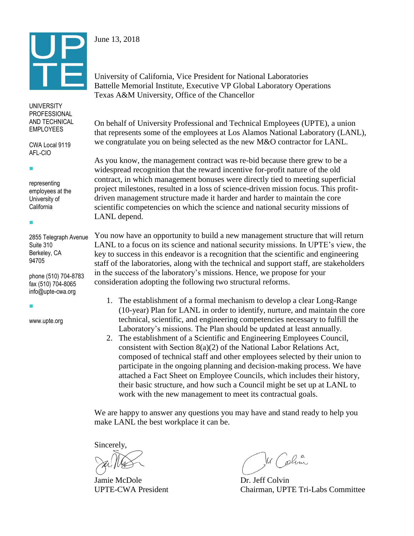

### June 13, 2018

University of California, Vice President for National Laboratories Battelle Memorial Institute, Executive VP Global Laboratory Operations Texas A&M University, Office of the Chancellor

#### **UNIVERSITY** PROFESSIONAL AND TECHNICAL EMPLOYEES

CWA Local 9119 AFL-CIO

representing employees at the

University of California

I.

I.

2855 Telegraph Avenue Suite 310 Berkeley, CA 94705

phone (510) 704-8783 fax (510) 704-8065 info@upte-cwa.org

www.upte.org

I.

On behalf of University Professional and Technical Employees (UPTE), a union that represents some of the employees at Los Alamos National Laboratory (LANL), we congratulate you on being selected as the new M&O contractor for LANL.

As you know, the management contract was re-bid because there grew to be a widespread recognition that the reward incentive for-profit nature of the old contract, in which management bonuses were directly tied to meeting superficial project milestones, resulted in a loss of science-driven mission focus. This profitdriven management structure made it harder and harder to maintain the core scientific competencies on which the science and national security missions of LANL depend.

You now have an opportunity to build a new management structure that will return LANL to a focus on its science and national security missions. In UPTE's view, the key to success in this endeavor is a recognition that the scientific and engineering staff of the laboratories, along with the technical and support staff, are stakeholders in the success of the laboratory's missions. Hence, we propose for your consideration adopting the following two structural reforms.

- 1. The establishment of a formal mechanism to develop a clear Long-Range (10-year) Plan for LANL in order to identify, nurture, and maintain the core technical, scientific, and engineering competencies necessary to fulfill the Laboratory's missions. The Plan should be updated at least annually.
- 2. The establishment of a Scientific and Engineering Employees Council, consistent with Section 8(a)(2) of the National Labor Relations Act, composed of technical staff and other employees selected by their union to participate in the ongoing planning and decision-making process. We have attached a Fact Sheet on Employee Councils, which includes their history, their basic structure, and how such a Council might be set up at LANL to work with the new management to meet its contractual goals.

We are happy to answer any questions you may have and stand ready to help you make LANL the best workplace it can be.

Sincerely,

Jamie McDole Dr. Jeff Colvin

Mr Colom

UPTE-CWA President Chairman, UPTE Tri-Labs Committee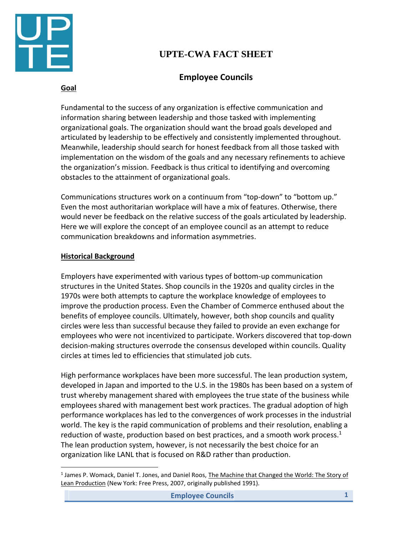

# **UPTE-CWA FACT SHEET**

## **Employee Councils**

### **Goal**

Fundamental to the success of any organization is effective communication and information sharing between leadership and those tasked with implementing organizational goals. The organization should want the broad goals developed and articulated by leadership to be effectively and consistently implemented throughout. Meanwhile, leadership should search for honest feedback from all those tasked with implementation on the wisdom of the goals and any necessary refinements to achieve the organization's mission. Feedback is thus critical to identifying and overcoming obstacles to the attainment of organizational goals.

Communications structures work on a continuum from "top-down" to "bottom up." Even the most authoritarian workplace will have a mix of features. Otherwise, there would never be feedback on the relative success of the goals articulated by leadership. Here we will explore the concept of an employee council as an attempt to reduce communication breakdowns and information asymmetries.

### **Historical Background**

l

Employers have experimented with various types of bottom-up communication structures in the United States. Shop councils in the 1920s and quality circles in the 1970s were both attempts to capture the workplace knowledge of employees to improve the production process. Even the Chamber of Commerce enthused about the benefits of employee councils. Ultimately, however, both shop councils and quality circles were less than successful because they failed to provide an even exchange for employees who were not incentivized to participate. Workers discovered that top-down decision-making structures overrode the consensus developed within councils. Quality circles at times led to efficiencies that stimulated job cuts.

High performance workplaces have been more successful. The lean production system, developed in Japan and imported to the U.S. in the 1980s has been based on a system of trust whereby management shared with employees the true state of the business while employees shared with management best work practices. The gradual adoption of high performance workplaces has led to the convergences of work processes in the industrial world. The key is the rapid communication of problems and their resolution, enabling a reduction of waste, production based on best practices, and a smooth work process. $<sup>1</sup>$ </sup> The lean production system, however, is not necessarily the best choice for an organization like LANL that is focused on R&D rather than production.

<sup>&</sup>lt;sup>1</sup> James P. Womack, Daniel T. Jones, and Daniel Roos, The Machine that Changed the World: The Story of Lean Production (New York: Free Press, 2007, originally published 1991).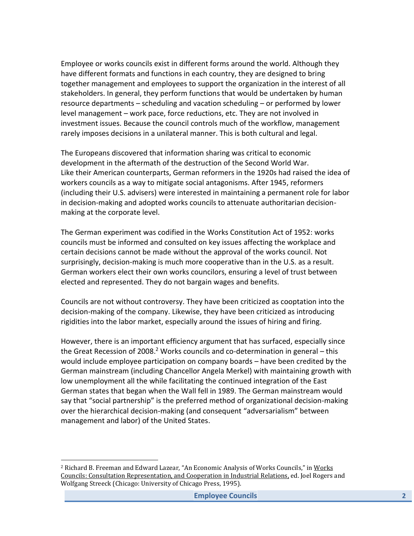Employee or works councils exist in different forms around the world. Although they have different formats and functions in each country, they are designed to bring together management and employees to support the organization in the interest of all stakeholders. In general, they perform functions that would be undertaken by human resource departments – scheduling and vacation scheduling – or performed by lower level management – work pace, force reductions, etc. They are not involved in investment issues. Because the council controls much of the workflow, management rarely imposes decisions in a unilateral manner. This is both cultural and legal.

The Europeans discovered that information sharing was critical to economic development in the aftermath of the destruction of the Second World War. Like their American counterparts, German reformers in the 1920s had raised the idea of workers councils as a way to mitigate social antagonisms. After 1945, reformers (including their U.S. advisers) were interested in maintaining a permanent role for labor in decision-making and adopted works councils to attenuate authoritarian decisionmaking at the corporate level.

The German experiment was codified in the Works Constitution Act of 1952: works councils must be informed and consulted on key issues affecting the workplace and certain decisions cannot be made without the approval of the works council. Not surprisingly, decision-making is much more cooperative than in the U.S. as a result. German workers elect their own works councilors, ensuring a level of trust between elected and represented. They do not bargain wages and benefits.

Councils are not without controversy. They have been criticized as cooptation into the decision-making of the company. Likewise, they have been criticized as introducing rigidities into the labor market, especially around the issues of hiring and firing.

However, there is an important efficiency argument that has surfaced, especially since the Great Recession of 2008.<sup>2</sup> Works councils and co-determination in general – this would include employee participation on company boards – have been credited by the German mainstream (including Chancellor Angela Merkel) with maintaining growth with low unemployment all the while facilitating the continued integration of the East German states that began when the Wall fell in 1989. The German mainstream would say that "social partnership" is the preferred method of organizational decision-making over the hierarchical decision-making (and consequent "adversarialism" between management and labor) of the United States.

 $\overline{\phantom{a}}$ 

<sup>2</sup> Richard B. Freeman and Edward Lazear, "An Economic Analysis of Works Councils," in Works Councils: Consultation Representation, and Cooperation in Industrial Relations, ed. Joel Rogers and Wolfgang Streeck (Chicago: University of Chicago Press, 1995).